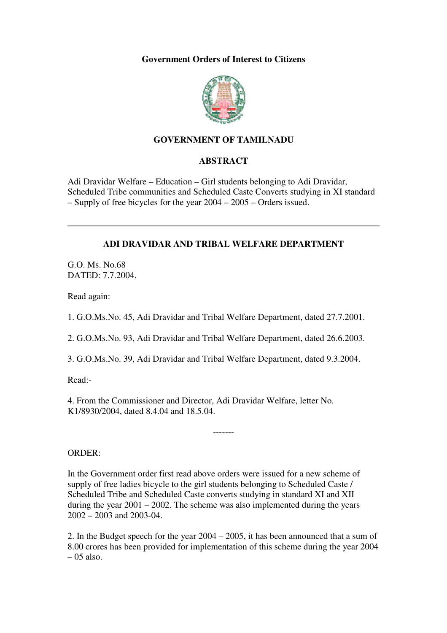#### **Government Orders of Interest to Citizens**



# **GOVERNMENT OF TAMILNADU**

# **ABSTRACT**

Adi Dravidar Welfare – Education – Girl students belonging to Adi Dravidar, Scheduled Tribe communities and Scheduled Caste Converts studying in XI standard – Supply of free bicycles for the year 2004 – 2005 – Orders issued.

#### **ADI DRAVIDAR AND TRIBAL WELFARE DEPARTMENT**

G.O. Ms. No.68 DATED: 7.7.2004.

Read again:

1. G.O.Ms.No. 45, Adi Dravidar and Tribal Welfare Department, dated 27.7.2001.

2. G.O.Ms.No. 93, Adi Dravidar and Tribal Welfare Department, dated 26.6.2003.

3. G.O.Ms.No. 39, Adi Dravidar and Tribal Welfare Department, dated 9.3.2004.

Read:-

4. From the Commissioner and Director, Adi Dravidar Welfare, letter No. K1/8930/2004, dated 8.4.04 and 18.5.04.

ORDER:

In the Government order first read above orders were issued for a new scheme of supply of free ladies bicycle to the girl students belonging to Scheduled Caste / Scheduled Tribe and Scheduled Caste converts studying in standard XI and XII during the year  $2001 - 2002$ . The scheme was also implemented during the years 2002 – 2003 and 2003-04.

-------

2. In the Budget speech for the year 2004 – 2005, it has been announced that a sum of 8.00 crores has been provided for implementation of this scheme during the year 2004  $-05$  also.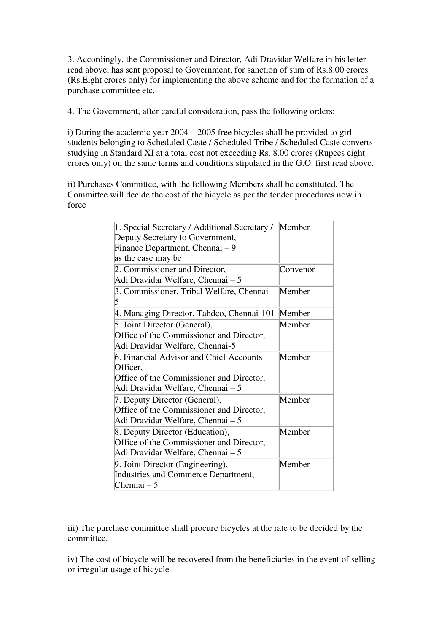3. Accordingly, the Commissioner and Director, Adi Dravidar Welfare in his letter read above, has sent proposal to Government, for sanction of sum of Rs.8.00 crores (Rs.Eight crores only) for implementing the above scheme and for the formation of a purchase committee etc.

4. The Government, after careful consideration, pass the following orders:

i) During the academic year 2004 – 2005 free bicycles shall be provided to girl students belonging to Scheduled Caste / Scheduled Tribe / Scheduled Caste converts studying in Standard XI at a total cost not exceeding Rs. 8.00 crores (Rupees eight crores only) on the same terms and conditions stipulated in the G.O. first read above.

ii) Purchases Committee, with the following Members shall be constituted. The Committee will decide the cost of the bicycle as per the tender procedures now in force

| 1. Special Secretary / Additional Secretary /     | Member   |
|---------------------------------------------------|----------|
| Deputy Secretary to Government,                   |          |
| Finance Department, Chennai – 9                   |          |
| as the case may be                                |          |
| 2. Commissioner and Director,                     | Convenor |
| Adi Dravidar Welfare, Chennai – 5                 |          |
| 3. Commissioner, Tribal Welfare, Chennai – Member |          |
| 5                                                 |          |
| 4. Managing Director, Tahdco, Chennai-101         | Member   |
| 5. Joint Director (General),                      | Member   |
| Office of the Commissioner and Director,          |          |
| Adi Dravidar Welfare, Chennai-5                   |          |
| 6. Financial Advisor and Chief Accounts           | Member   |
| Officer,                                          |          |
| Office of the Commissioner and Director,          |          |
| Adi Dravidar Welfare, Chennai – 5                 |          |
| 7. Deputy Director (General),                     | Member   |
| Office of the Commissioner and Director,          |          |
| Adi Dravidar Welfare, Chennai – 5                 |          |
| 8. Deputy Director (Education),                   | Member   |
| Office of the Commissioner and Director,          |          |
| Adi Dravidar Welfare, Chennai – 5                 |          |
| 9. Joint Director (Engineering),                  | Member   |
| Industries and Commerce Department,               |          |
| Chennai $-5$                                      |          |

iii) The purchase committee shall procure bicycles at the rate to be decided by the committee.

iv) The cost of bicycle will be recovered from the beneficiaries in the event of selling or irregular usage of bicycle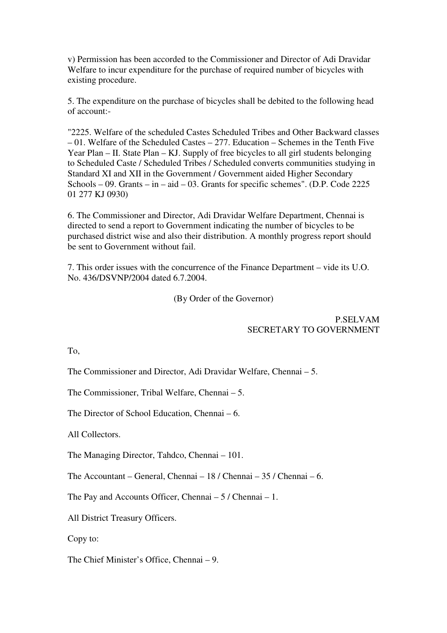v) Permission has been accorded to the Commissioner and Director of Adi Dravidar Welfare to incur expenditure for the purchase of required number of bicycles with existing procedure.

5. The expenditure on the purchase of bicycles shall be debited to the following head of account:-

"2225. Welfare of the scheduled Castes Scheduled Tribes and Other Backward classes – 01. Welfare of the Scheduled Castes – 277. Education – Schemes in the Tenth Five Year Plan – II. State Plan – KJ. Supply of free bicycles to all girl students belonging to Scheduled Caste / Scheduled Tribes / Scheduled converts communities studying in Standard XI and XII in the Government / Government aided Higher Secondary Schools – 09. Grants – in – aid – 03. Grants for specific schemes". (D.P. Code 2225 01 277 KJ 0930)

6. The Commissioner and Director, Adi Dravidar Welfare Department, Chennai is directed to send a report to Government indicating the number of bicycles to be purchased district wise and also their distribution. A monthly progress report should be sent to Government without fail.

7. This order issues with the concurrence of the Finance Department – vide its U.O. No. 436/DSVNP/2004 dated 6.7.2004.

(By Order of the Governor)

# P.SELVAM SECRETARY TO GOVERNMENT

To,

The Commissioner and Director, Adi Dravidar Welfare, Chennai – 5.

The Commissioner, Tribal Welfare, Chennai – 5.

The Director of School Education, Chennai – 6.

All Collectors.

The Managing Director, Tahdco, Chennai – 101.

The Accountant – General, Chennai – 18 / Chennai – 35 / Chennai – 6.

The Pay and Accounts Officer, Chennai – 5 / Chennai – 1.

All District Treasury Officers.

Copy to:

The Chief Minister's Office, Chennai – 9.